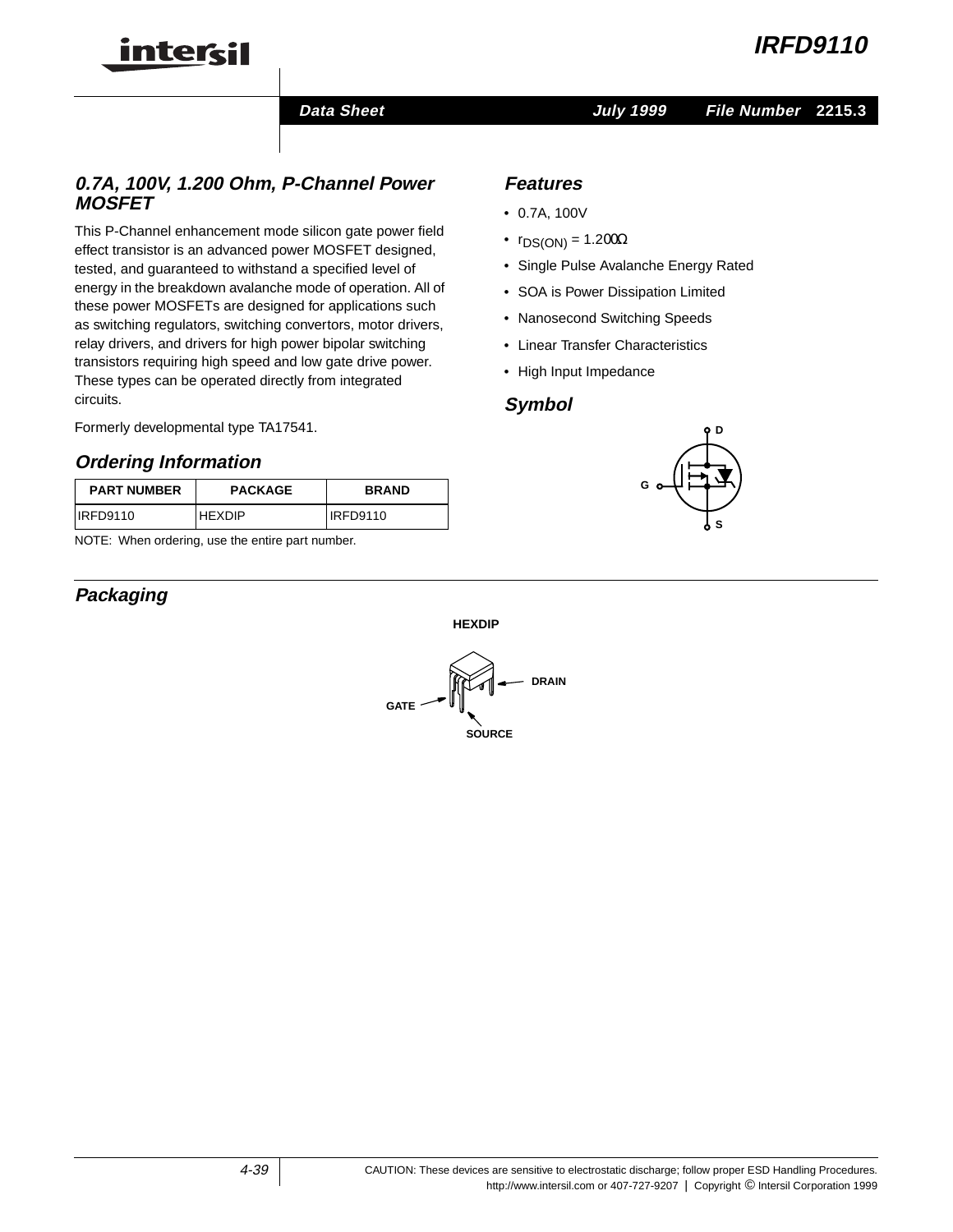**Data Sheet July 1999**

# **0.7A, 100V, 1.200 Ohm, P-Channel Power MOSFET**

This P-Channel enhancement mode silicon gate power field effect transistor is an advanced power MOSFET designed, tested, and guaranteed to withstand a specified level of energy in the breakdown avalanche mode of operation. All of these power MOSFETs are designed for applications such as switching regulators, switching convertors, motor drivers, relay drivers, and drivers for high power bipolar switching transistors requiring high speed and low gate drive power. These types can be operated directly from integrated circuits.

Formerly developmental type TA17541.

intercil

### **Ordering Information**

| <b>PART NUMBER</b> | <b>PACKAGE</b> | <b>BRAND</b> |  |  |
|--------------------|----------------|--------------|--|--|
| IRFD9110           | <b>HEXDIP</b>  | IRFD9110     |  |  |

NOTE: When ordering, use the entire part number.

# **Packaging**

### **Features**

- 0.7A, 100V
- $r_{DS(ON)} = 1.200\Omega$
- Single Pulse Avalanche Energy Rated
- SOA is Power Dissipation Limited
- Nanosecond Switching Speeds
- Linear Transfer Characteristics
- High Input Impedance

### **Symbol**



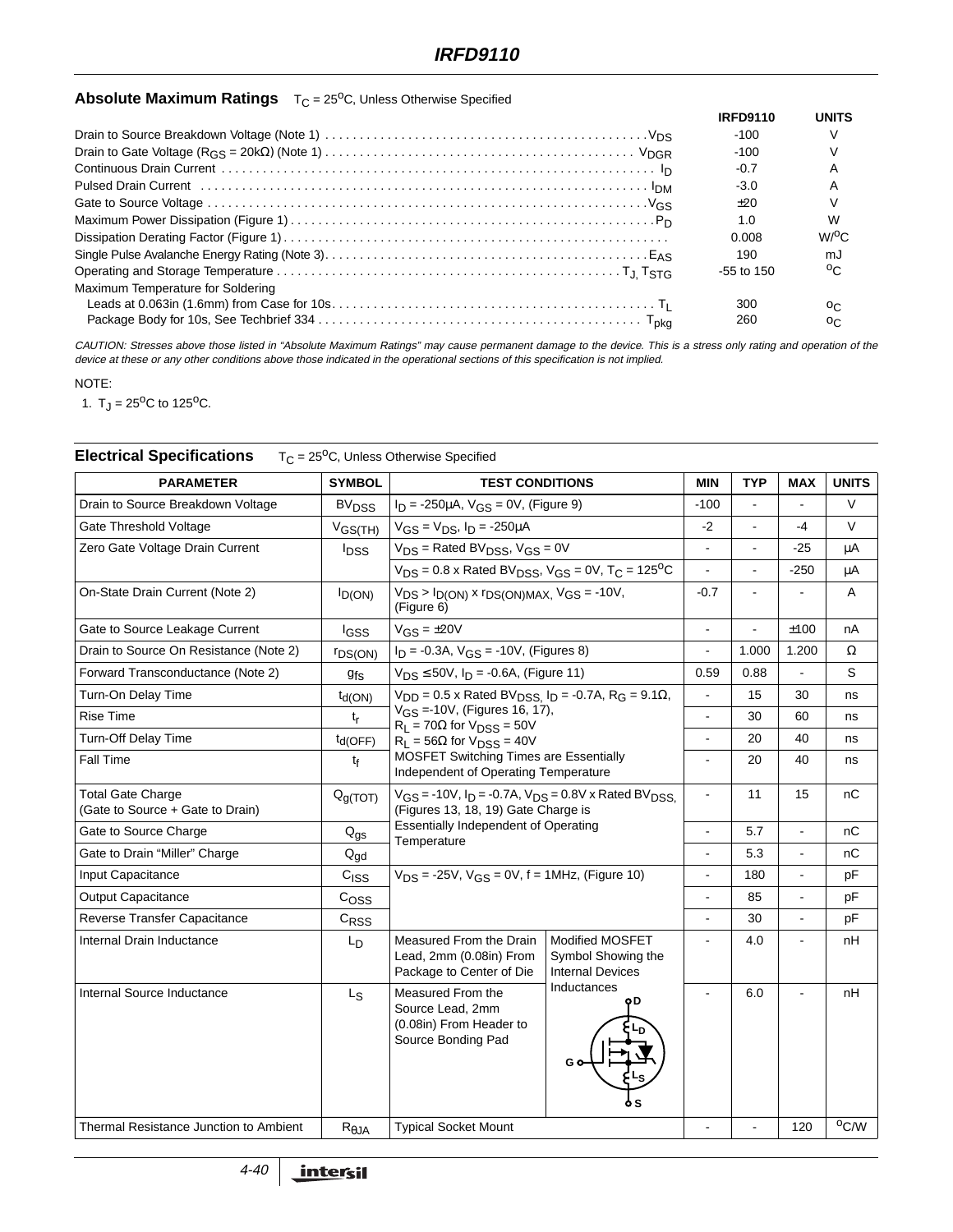# **Absolute Maximum Ratings** T<sub>C</sub> = 25<sup>o</sup>C, Unless Otherwise Specified

|                                   | <b>IRFD9110</b> | <b>UNITS</b>       |
|-----------------------------------|-----------------|--------------------|
|                                   | $-100$          |                    |
|                                   | $-100$          |                    |
|                                   | $-0.7$          | А                  |
|                                   | $-3.0$          |                    |
|                                   | $+20$           |                    |
|                                   | 1.0             | W                  |
|                                   | 0.008           | $W$ <sup>O</sup> C |
|                                   | 190             | mJ                 |
|                                   | $-55$ to 150    | $0^{\circ}$        |
| Maximum Temperature for Soldering |                 |                    |
|                                   | 300             | OC.                |
|                                   | 260             | OC.                |

CAUTION: Stresses above those listed in "Absolute Maximum Ratings" may cause permanent damage to the device. This is <sup>a</sup> stress only rating and operation of the device at these or any other conditions above those indicated in the operational sections of this specification is not implied.

#### NOTE:

1.  $T_J = 25^{\circ}C$  to 125<sup>o</sup>C.

| <b>PARAMETER</b>                                             | <b>SYMBOL</b>               | <b>TEST CONDITIONS</b>                                                                                                                                                                                                                                                                                         |                                                                  | <b>MIN</b>     | <b>TYP</b>     | <b>MAX</b>           | <b>UNITS</b>   |
|--------------------------------------------------------------|-----------------------------|----------------------------------------------------------------------------------------------------------------------------------------------------------------------------------------------------------------------------------------------------------------------------------------------------------------|------------------------------------------------------------------|----------------|----------------|----------------------|----------------|
| Drain to Source Breakdown Voltage                            | <b>BV<sub>DSS</sub></b>     | $I_D = -250 \mu A$ , $V_{GS} = 0V$ , (Figure 9)                                                                                                                                                                                                                                                                |                                                                  | $-100$         |                |                      | V              |
| Gate Threshold Voltage                                       | $V_{GS(TH)}$                | $V_{GS} = V_{DS}$ , $I_D = -250 \mu A$                                                                                                                                                                                                                                                                         |                                                                  | $-2$           | $\blacksquare$ | $-4$                 | V              |
| Zero Gate Voltage Drain Current                              | <b>I</b> <sub>DSS</sub>     | $V_{DS}$ = Rated BV <sub>DSS</sub> , V <sub>GS</sub> = 0V<br>$V_{DS}$ = 0.8 x Rated BV <sub>DSS</sub> , V <sub>GS</sub> = 0V, T <sub>C</sub> = 125 <sup>o</sup> C                                                                                                                                              |                                                                  |                |                | $-25$                | μA             |
|                                                              |                             |                                                                                                                                                                                                                                                                                                                |                                                                  |                |                | $-250$               | μA             |
| On-State Drain Current (Note 2)                              | $I_{D(ON)}$                 | $V_{DS}$ > $I_{D(ON)}$ x $r_{DS(ON)MAX}$ , $V_{GS}$ = -10V,<br>(Figure 6)                                                                                                                                                                                                                                      |                                                                  | $-0.7$         | L.             |                      | Α              |
| Gate to Source Leakage Current                               | l <sub>GSS</sub>            | $V_{GS} = \pm 20V$                                                                                                                                                                                                                                                                                             |                                                                  | $\mathbf{r}$   | $\mathbf{r}$   | ±100                 | nA             |
| Drain to Source On Resistance (Note 2)                       | <b>FDS(ON)</b>              | $I_D = -0.3A$ , $V_{GS} = -10V$ , (Figures 8)                                                                                                                                                                                                                                                                  |                                                                  |                | 1.000          | 1.200                | Ω              |
| Forward Transconductance (Note 2)                            | <b>gfs</b>                  | $V_{DS} \le 50V$ , $I_D = -0.6A$ , (Figure 11)                                                                                                                                                                                                                                                                 |                                                                  | 0.59           | 0.88           | $\blacksquare$       | S              |
| Turn-On Delay Time                                           | $t_{d(ON)}$                 | $V_{DD} = 0.5$ x Rated BV <sub>DSS.</sub> $I_D = -0.7$ A, R <sub>G</sub> = 9.1 $\Omega$ ,<br>$V_{GS} = 10V$ , (Figures 16, 17),<br>$R_L$ = 70 $\Omega$ for $V_{DSS}$ = 50V<br>$R_L$ = 56 $\Omega$ for $V_{DSS}$ = 40V<br><b>MOSFET Switching Times are Essentially</b><br>Independent of Operating Temperature |                                                                  |                | 15             | 30                   | ns             |
| <b>Rise Time</b>                                             | $t_{\sf r}$                 |                                                                                                                                                                                                                                                                                                                |                                                                  | $\blacksquare$ | 30             | 60                   | ns             |
| Turn-Off Delay Time                                          | $td(OFF)$                   |                                                                                                                                                                                                                                                                                                                |                                                                  | $\blacksquare$ | 20             | 40                   | ns             |
| Fall Time                                                    | t <sub>f</sub>              |                                                                                                                                                                                                                                                                                                                |                                                                  |                | 20             | 40                   | ns             |
| <b>Total Gate Charge</b><br>(Gate to Source + Gate to Drain) | Q <sub>g(TOT)</sub>         | $V_{GS}$ = -10V, $I_D$ = -0.7A, $V_{DS}$ = 0.8V x Rated BV <sub>DSS.</sub><br>(Figures 13, 18, 19) Gate Charge is<br><b>Essentially Independent of Operating</b><br>Temperature                                                                                                                                |                                                                  |                | 11             | 15                   | nС             |
| Gate to Source Charge                                        | $\mathsf{Q}_{\mathsf{gs}}$  |                                                                                                                                                                                                                                                                                                                |                                                                  |                | 5.7            | $\ddot{\phantom{a}}$ | nC             |
| Gate to Drain "Miller" Charge                                | ${\mathsf Q}_{\mathsf{gd}}$ |                                                                                                                                                                                                                                                                                                                |                                                                  | $\blacksquare$ | 5.3            |                      | nС             |
| Input Capacitance                                            | C <sub>ISS</sub>            | $V_{DS}$ = -25V, $V_{GS}$ = 0V, f = 1MHz, (Figure 10)                                                                                                                                                                                                                                                          |                                                                  |                | 180            |                      | рF             |
| <b>Output Capacitance</b>                                    | C <sub>OSS</sub>            |                                                                                                                                                                                                                                                                                                                |                                                                  | $\blacksquare$ | 85             | $\overline{a}$       | pF             |
| Reverse Transfer Capacitance                                 | $C_{\rm RSS}$               |                                                                                                                                                                                                                                                                                                                |                                                                  | $\blacksquare$ | 30             | $\blacksquare$       | pF             |
| Internal Drain Inductance                                    | L <sub>D</sub>              | Measured From the Drain<br>Lead, 2mm (0.08in) From<br>Package to Center of Die                                                                                                                                                                                                                                 | Modified MOSFET<br>Symbol Showing the<br><b>Internal Devices</b> |                | 4.0            |                      | nН             |
| Internal Source Inductance                                   | Ls                          | Measured From the<br>Source Lead, 2mm<br>(0.08in) From Header to<br>Source Bonding Pad                                                                                                                                                                                                                         | Inductances<br>οD                                                |                | 6.0            |                      | nH             |
| Thermal Resistance Junction to Ambient                       | $R_{\theta$ JA              | <b>Typical Socket Mount</b>                                                                                                                                                                                                                                                                                    |                                                                  |                |                | 120                  | $^{\circ}$ C/W |

# **Electrical Specifications** T<sub>C</sub> = 25<sup>o</sup>C, Unless Otherwise Specified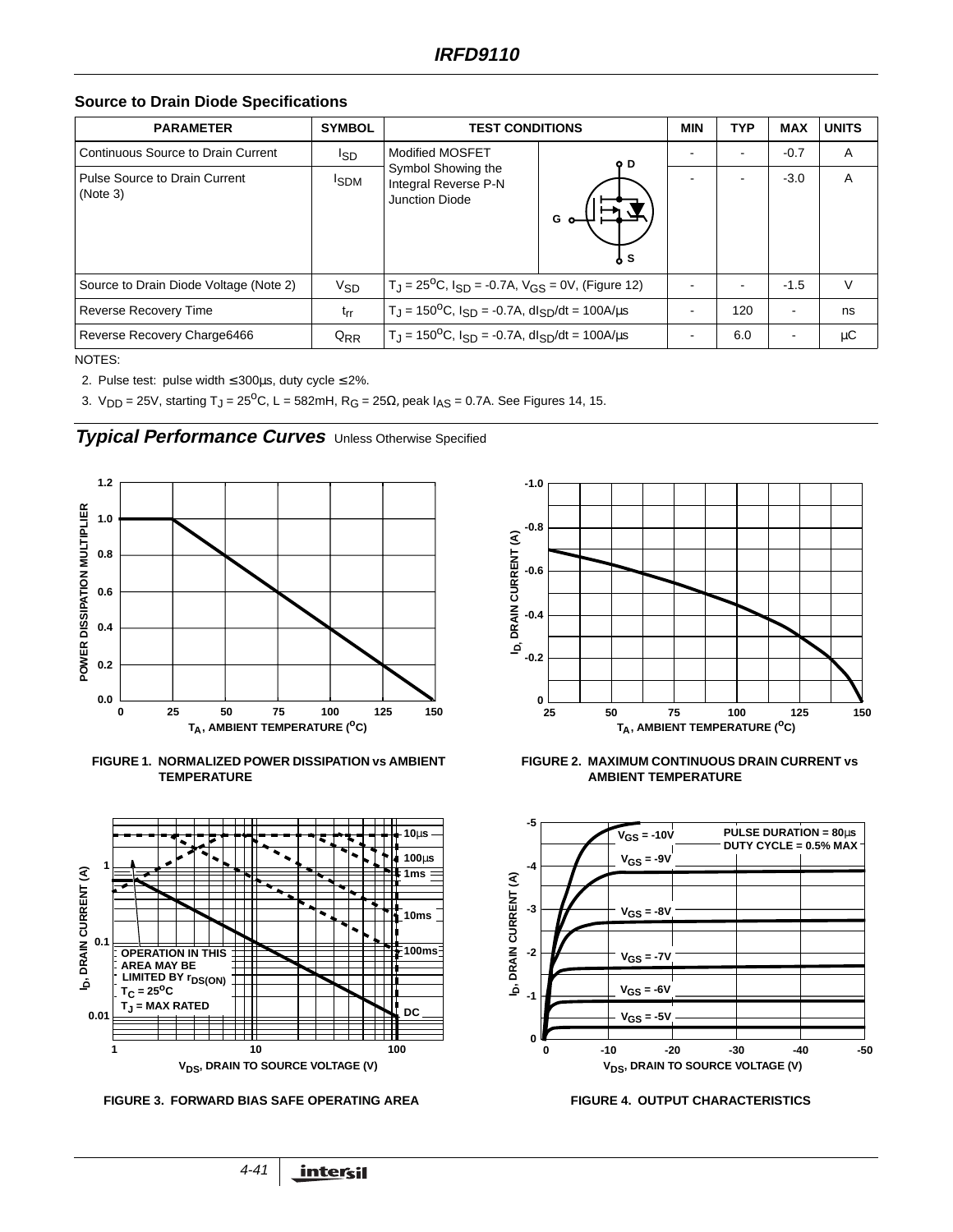**Source to Drain Diode Specifications**

| <b>PARAMETER</b>                                 | <b>SYMBOL</b>    | <b>TEST CONDITIONS</b>                                                                         |     | <b>MIN</b> | <b>TYP</b>               | <b>MAX</b> | <b>UNITS</b> |
|--------------------------------------------------|------------------|------------------------------------------------------------------------------------------------|-----|------------|--------------------------|------------|--------------|
| Continuous Source to Drain Current               | <sup>I</sup> SD  | Modified MOSFET<br>Symbol Showing the<br>Integral Reverse P-N<br><b>Junction Diode</b>         | o D |            |                          | $-0.7$     | A            |
| <b>Pulse Source to Drain Current</b><br>(Note 3) | <sup>I</sup> SDM |                                                                                                |     |            | <u>. .</u>               | $-3.0$     | A            |
| Source to Drain Diode Voltage (Note 2)           | $V_{SD}$         | $T_J = 25^{\circ}\text{C}$ , $I_{SD} = -0.7\text{A}$ , $V_{GS} = 0\text{V}$ , (Figure 12)      |     | ۰          | $\overline{\phantom{0}}$ | $-1.5$     | $\vee$       |
| Reverse Recovery Time                            | $t_{rr}$         | $T_J = 150^{\circ}\text{C}$ , $I_{SD} = -0.7\text{A}$ , $dl_{SD}/dt = 100\text{A/}\mu\text{s}$ |     |            | 120                      |            | ns           |
| Reverse Recovery Charge6466                      | $Q_{RR}$         | $T_J = 150^{\circ}\text{C}$ , $I_{SD} = -0.7\text{A}$ , $dl_{SD}/dt = 100\text{A/}\mu\text{s}$ |     |            | 6.0                      |            | μC           |

NOTES:

2. Pulse test: pulse width ≤ 300µs, duty cycle ≤ 2%.

3. V<sub>DD</sub> = 25V, starting T<sub>J</sub> = 25<sup>o</sup>C, L = 582mH, R<sub>G</sub> = 25 $\Omega$ , peak I<sub>AS</sub> = 0.7A. See Figures 14, 15.





**FIGURE 1. NORMALIZED POWER DISSIPATION vs AMBIENT TEMPERATURE**



**FIGURE 3. FORWARD BIAS SAFE OPERATING AREA FIGURE 4. OUTPUT CHARACTERISTICS** 





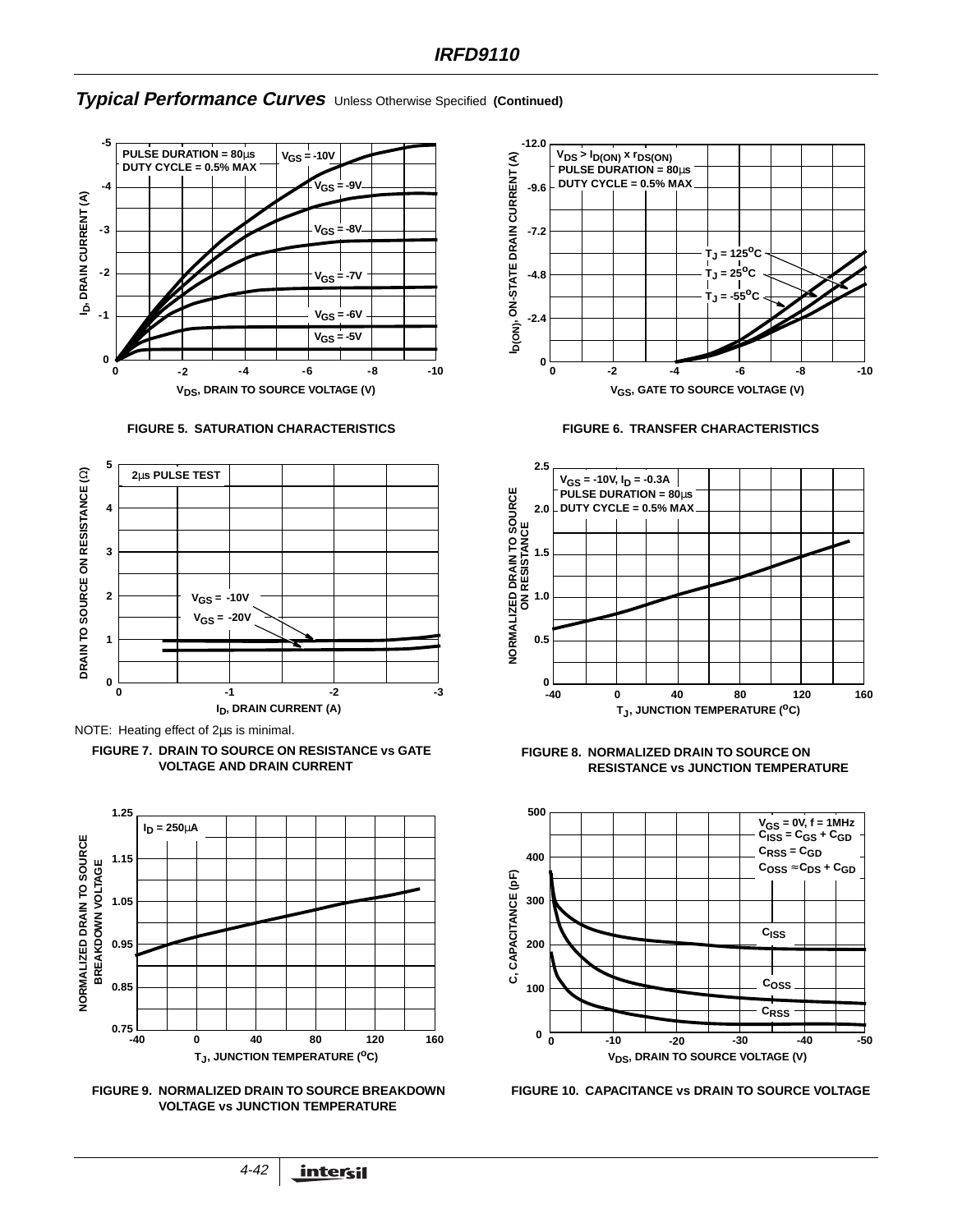### **Typical Performance Curves** Unless Otherwise Specified **(Continued)**





NOTE: Heating effect of 2µs is minimal.

















**FIGURE 10. CAPACITANCE vs DRAIN TO SOURCE VOLTAGE**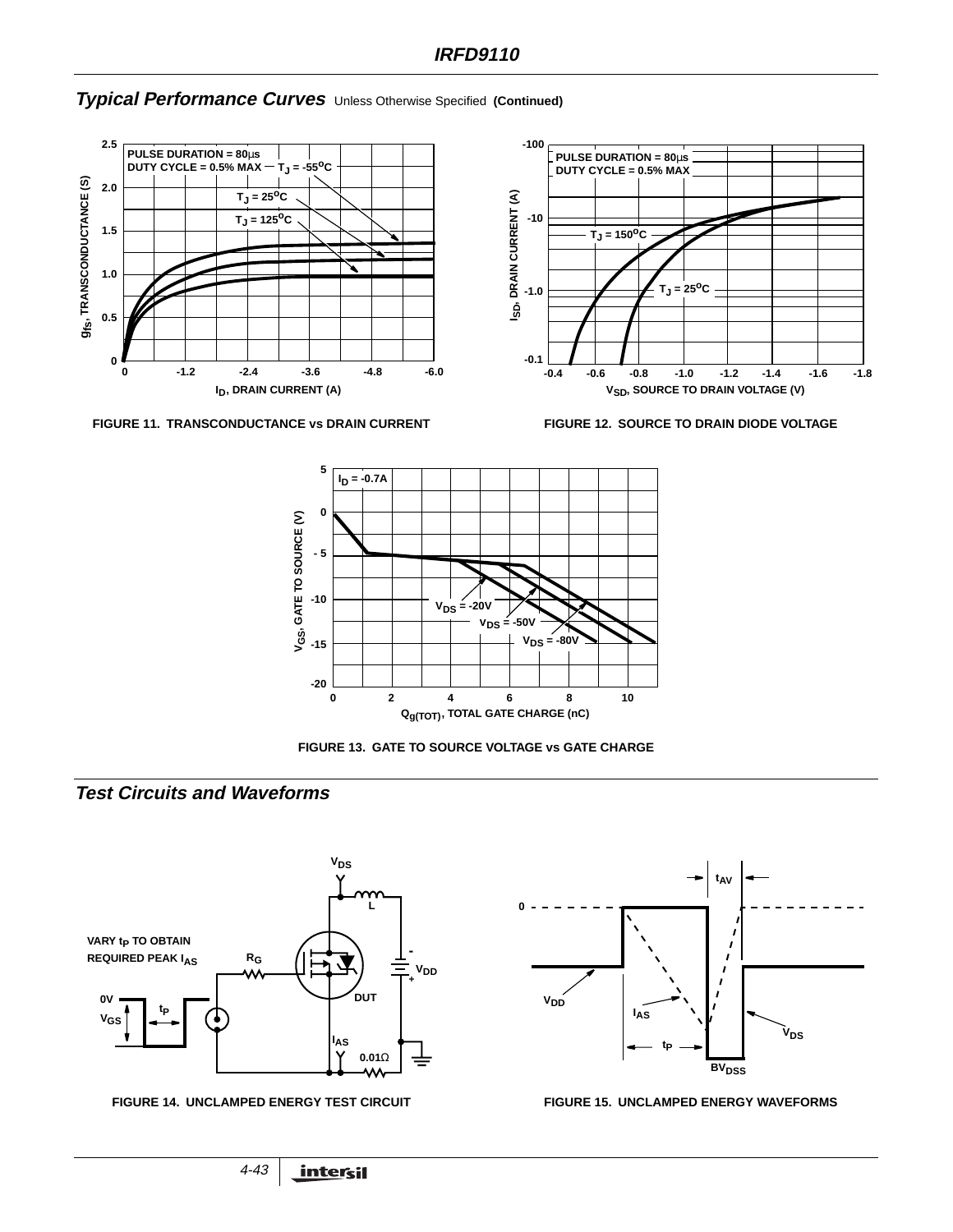### **Typical Performance Curves** Unless Otherwise Specified **(Continued)**



FIGURE 11. TRANSCONDUCTANCE vs DRAIN CURRENT FIGURE 12. SOURCE TO DRAIN DIODE VOLTAGE







**FIGURE 13. GATE TO SOURCE VOLTAGE vs GATE CHARGE**

# **Test Circuits and Waveforms**





#### **FIGURE 14. UNCLAMPED ENERGY TEST CIRCUIT FIGURE 15. UNCLAMPED ENERGY WAVEFORMS**